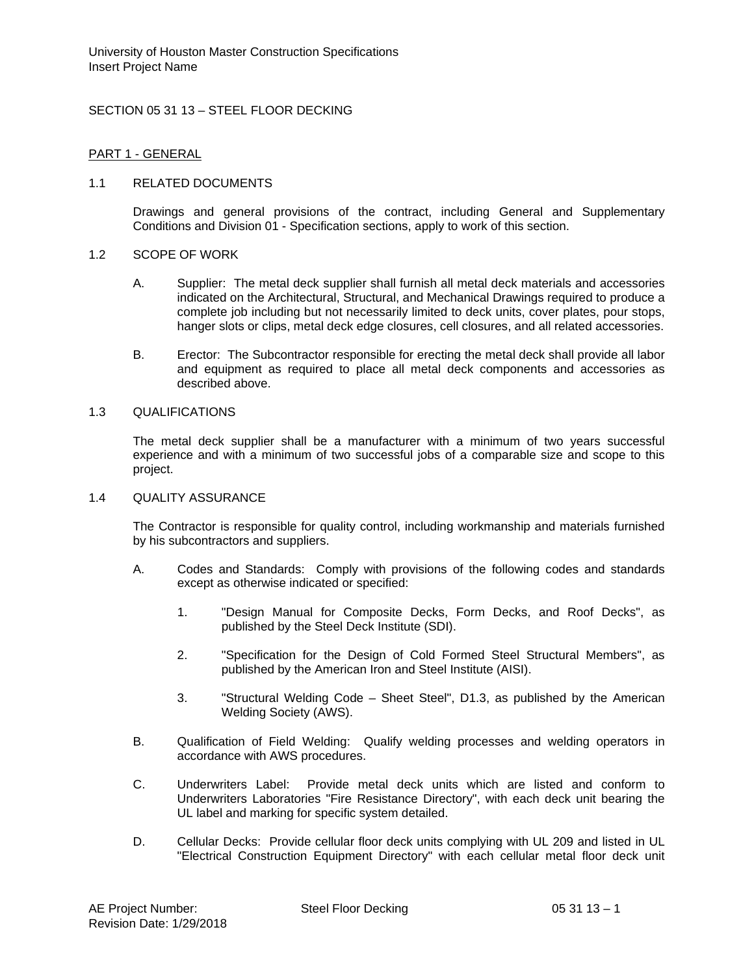# SECTION 05 31 13 – STEEL FLOOR DECKING

#### PART 1 - GENERAL

### 1.1 RELATED DOCUMENTS

Drawings and general provisions of the contract, including General and Supplementary Conditions and Division 01 - Specification sections, apply to work of this section.

#### 1.2 SCOPE OF WORK

- A. Supplier: The metal deck supplier shall furnish all metal deck materials and accessories indicated on the Architectural, Structural, and Mechanical Drawings required to produce a complete job including but not necessarily limited to deck units, cover plates, pour stops, hanger slots or clips, metal deck edge closures, cell closures, and all related accessories.
- B. Erector: The Subcontractor responsible for erecting the metal deck shall provide all labor and equipment as required to place all metal deck components and accessories as described above.

#### 1.3 QUALIFICATIONS

The metal deck supplier shall be a manufacturer with a minimum of two years successful experience and with a minimum of two successful jobs of a comparable size and scope to this project.

#### 1.4 QUALITY ASSURANCE

The Contractor is responsible for quality control, including workmanship and materials furnished by his subcontractors and suppliers.

- A. Codes and Standards: Comply with provisions of the following codes and standards except as otherwise indicated or specified:
	- 1. "Design Manual for Composite Decks, Form Decks, and Roof Decks", as published by the Steel Deck Institute (SDI).
	- 2. "Specification for the Design of Cold Formed Steel Structural Members", as published by the American Iron and Steel Institute (AISI).
	- 3. "Structural Welding Code Sheet Steel", D1.3, as published by the American Welding Society (AWS).
- B. Qualification of Field Welding: Qualify welding processes and welding operators in accordance with AWS procedures.
- C. Underwriters Label: Provide metal deck units which are listed and conform to Underwriters Laboratories "Fire Resistance Directory", with each deck unit bearing the UL label and marking for specific system detailed.
- D. Cellular Decks: Provide cellular floor deck units complying with UL 209 and listed in UL "Electrical Construction Equipment Directory" with each cellular metal floor deck unit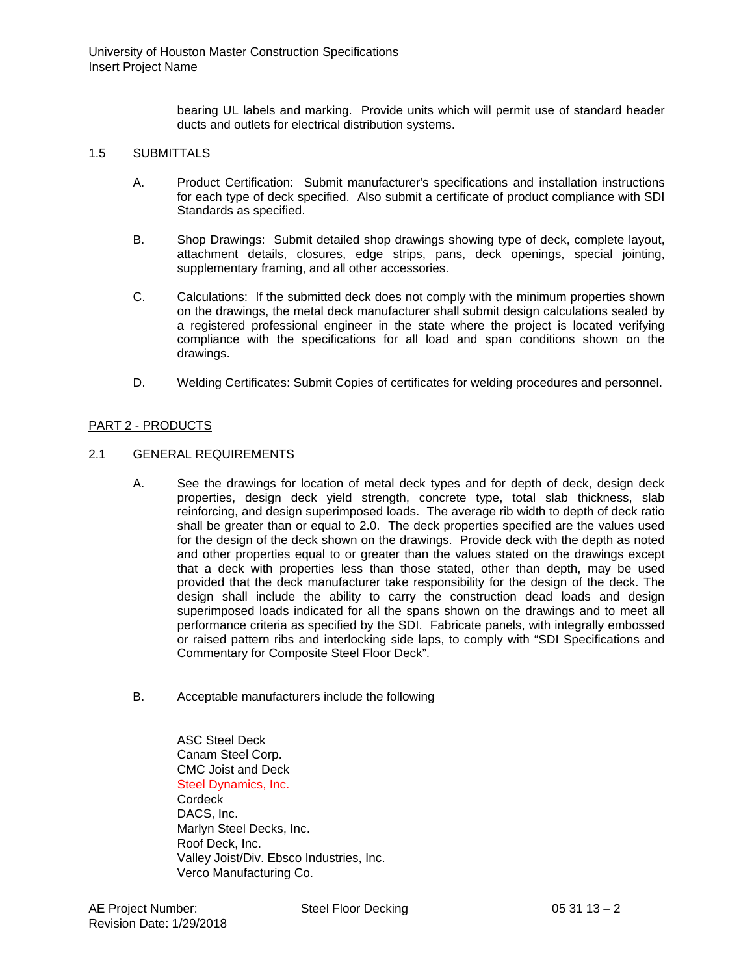bearing UL labels and marking. Provide units which will permit use of standard header ducts and outlets for electrical distribution systems.

### 1.5 SUBMITTALS

- A. Product Certification: Submit manufacturer's specifications and installation instructions for each type of deck specified. Also submit a certificate of product compliance with SDI Standards as specified.
- B. Shop Drawings: Submit detailed shop drawings showing type of deck, complete layout, attachment details, closures, edge strips, pans, deck openings, special jointing, supplementary framing, and all other accessories.
- C. Calculations: If the submitted deck does not comply with the minimum properties shown on the drawings, the metal deck manufacturer shall submit design calculations sealed by a registered professional engineer in the state where the project is located verifying compliance with the specifications for all load and span conditions shown on the drawings.
- D. Welding Certificates: Submit Copies of certificates for welding procedures and personnel.

# PART 2 - PRODUCTS

## 2.1 GENERAL REQUIREMENTS

- A. See the drawings for location of metal deck types and for depth of deck, design deck properties, design deck yield strength, concrete type, total slab thickness, slab reinforcing, and design superimposed loads. The average rib width to depth of deck ratio shall be greater than or equal to 2.0. The deck properties specified are the values used for the design of the deck shown on the drawings. Provide deck with the depth as noted and other properties equal to or greater than the values stated on the drawings except that a deck with properties less than those stated, other than depth, may be used provided that the deck manufacturer take responsibility for the design of the deck. The design shall include the ability to carry the construction dead loads and design superimposed loads indicated for all the spans shown on the drawings and to meet all performance criteria as specified by the SDI. Fabricate panels, with integrally embossed or raised pattern ribs and interlocking side laps, to comply with "SDI Specifications and Commentary for Composite Steel Floor Deck".
- B. Acceptable manufacturers include the following

ASC Steel Deck Canam Steel Corp. CMC Joist and Deck Steel Dynamics, Inc. **Cordeck** DACS, Inc. Marlyn Steel Decks, Inc. Roof Deck, Inc. Valley Joist/Div. Ebsco Industries, Inc. Verco Manufacturing Co.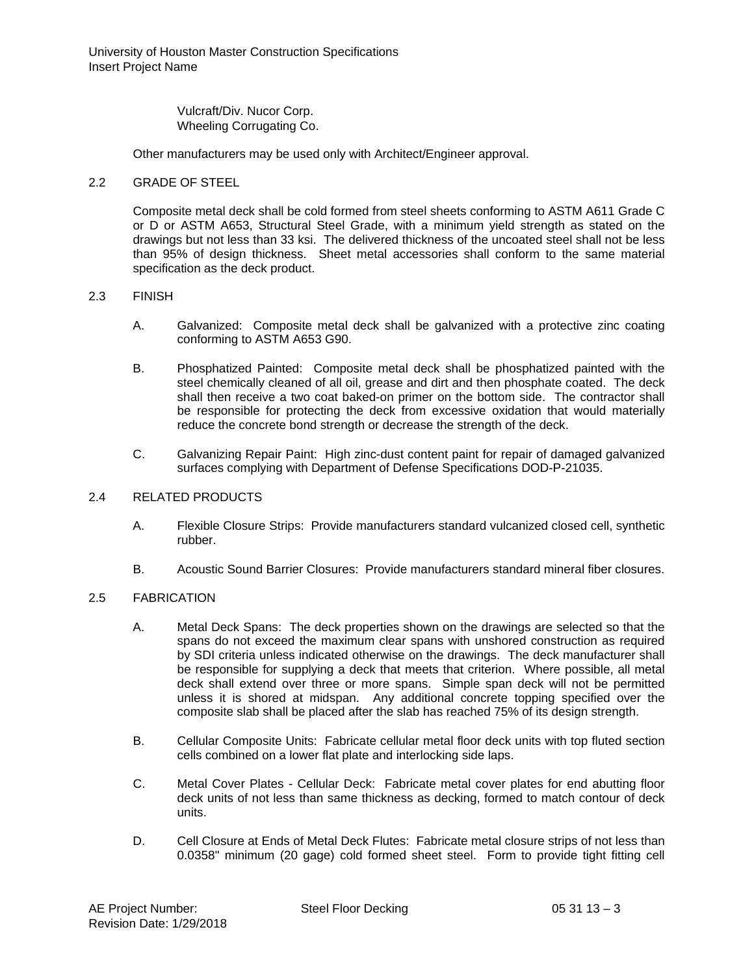University of Houston Master Construction Specifications Insert Project Name

> Vulcraft/Div. Nucor Corp. Wheeling Corrugating Co.

Other manufacturers may be used only with Architect/Engineer approval.

### 2.2 GRADE OF STEEL

Composite metal deck shall be cold formed from steel sheets conforming to ASTM A611 Grade C or D or ASTM A653, Structural Steel Grade, with a minimum yield strength as stated on the drawings but not less than 33 ksi. The delivered thickness of the uncoated steel shall not be less than 95% of design thickness. Sheet metal accessories shall conform to the same material specification as the deck product.

#### 2.3 FINISH

- A. Galvanized: Composite metal deck shall be galvanized with a protective zinc coating conforming to ASTM A653 G90.
- B. Phosphatized Painted: Composite metal deck shall be phosphatized painted with the steel chemically cleaned of all oil, grease and dirt and then phosphate coated. The deck shall then receive a two coat baked-on primer on the bottom side. The contractor shall be responsible for protecting the deck from excessive oxidation that would materially reduce the concrete bond strength or decrease the strength of the deck.
- C. Galvanizing Repair Paint: High zinc-dust content paint for repair of damaged galvanized surfaces complying with Department of Defense Specifications DOD-P-21035.

## 2.4 RELATED PRODUCTS

- A. Flexible Closure Strips: Provide manufacturers standard vulcanized closed cell, synthetic rubber.
- B. Acoustic Sound Barrier Closures: Provide manufacturers standard mineral fiber closures.

### 2.5 FABRICATION

- A. Metal Deck Spans: The deck properties shown on the drawings are selected so that the spans do not exceed the maximum clear spans with unshored construction as required by SDI criteria unless indicated otherwise on the drawings. The deck manufacturer shall be responsible for supplying a deck that meets that criterion. Where possible, all metal deck shall extend over three or more spans. Simple span deck will not be permitted unless it is shored at midspan. Any additional concrete topping specified over the composite slab shall be placed after the slab has reached 75% of its design strength.
- B. Cellular Composite Units: Fabricate cellular metal floor deck units with top fluted section cells combined on a lower flat plate and interlocking side laps.
- C. Metal Cover Plates Cellular Deck: Fabricate metal cover plates for end abutting floor deck units of not less than same thickness as decking, formed to match contour of deck units.
- D. Cell Closure at Ends of Metal Deck Flutes: Fabricate metal closure strips of not less than 0.0358" minimum (20 gage) cold formed sheet steel. Form to provide tight fitting cell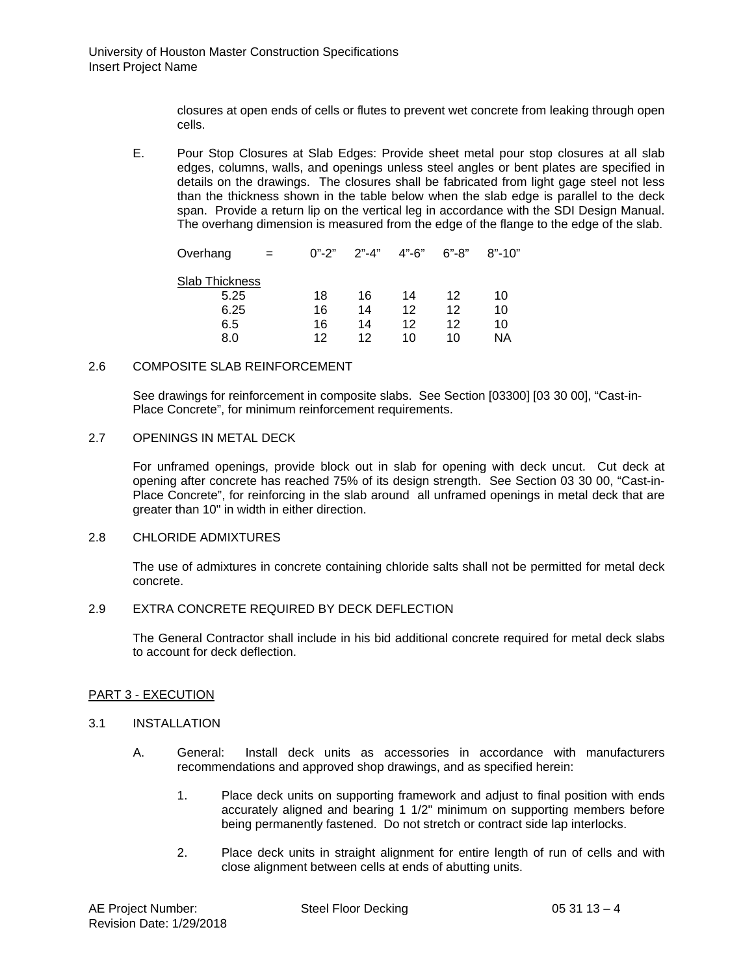closures at open ends of cells or flutes to prevent wet concrete from leaking through open cells.

E. Pour Stop Closures at Slab Edges: Provide sheet metal pour stop closures at all slab edges, columns, walls, and openings unless steel angles or bent plates are specified in details on the drawings. The closures shall be fabricated from light gage steel not less than the thickness shown in the table below when the slab edge is parallel to the deck span. Provide a return lip on the vertical leg in accordance with the SDI Design Manual. The overhang dimension is measured from the edge of the flange to the edge of the slab.

| Overhang       | $0" - 2"$ | $2" - 4"$ | $4" - 6"$ | $6 - 8$ | $8" - 10"$ |
|----------------|-----------|-----------|-----------|---------|------------|
| Slab Thickness |           |           |           |         |            |
| 5.25           | 18        | 16        | 14        | 12      | 10         |
| 6.25           | 16        | 14        | 12        | 12      | 10         |
| 6.5            | 16        | 14        | 12        | 12      | 10         |
| 8.0            | 12        | 12        | 10        | 10      | ΝA         |
|                |           |           |           |         |            |

## 2.6 COMPOSITE SLAB REINFORCEMENT

See drawings for reinforcement in composite slabs. See Section [03300] [03 30 00], "Cast-in-Place Concrete", for minimum reinforcement requirements.

### 2.7 OPENINGS IN METAL DECK

For unframed openings, provide block out in slab for opening with deck uncut. Cut deck at opening after concrete has reached 75% of its design strength. See Section 03 30 00, "Cast-in-Place Concrete", for reinforcing in the slab around all unframed openings in metal deck that are greater than 10" in width in either direction.

### 2.8 CHLORIDE ADMIXTURES

The use of admixtures in concrete containing chloride salts shall not be permitted for metal deck concrete.

# 2.9 EXTRA CONCRETE REQUIRED BY DECK DEFLECTION

The General Contractor shall include in his bid additional concrete required for metal deck slabs to account for deck deflection.

#### PART 3 - EXECUTION

#### 3.1 INSTALLATION

- A. General: Install deck units as accessories in accordance with manufacturers recommendations and approved shop drawings, and as specified herein:
	- 1. Place deck units on supporting framework and adjust to final position with ends accurately aligned and bearing 1 1/2" minimum on supporting members before being permanently fastened. Do not stretch or contract side lap interlocks.
	- 2. Place deck units in straight alignment for entire length of run of cells and with close alignment between cells at ends of abutting units.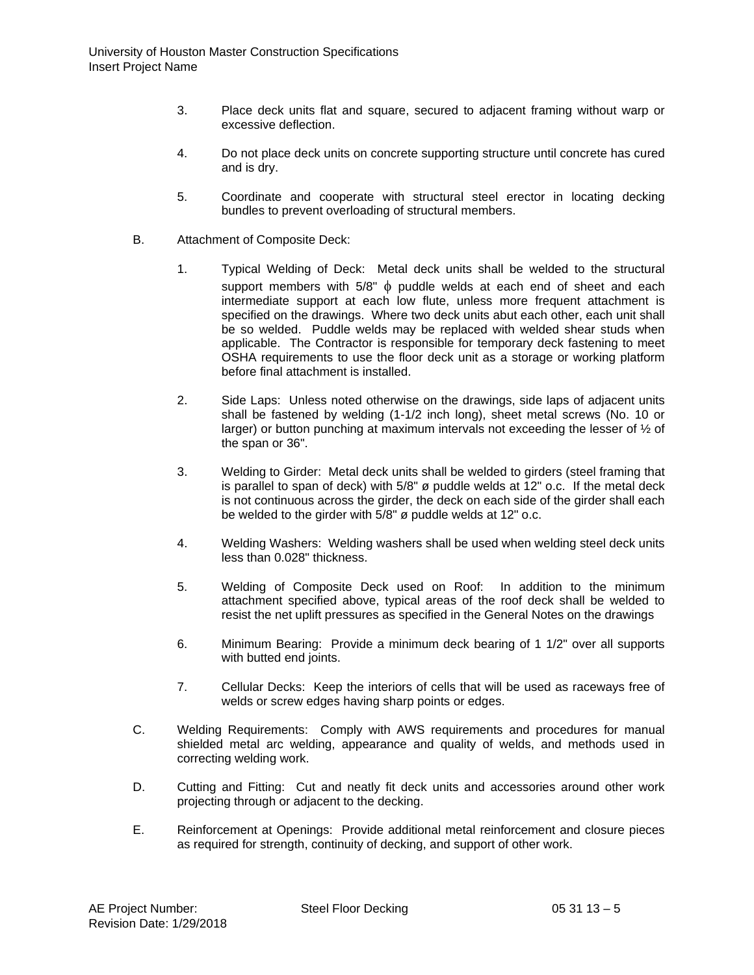- 3. Place deck units flat and square, secured to adjacent framing without warp or excessive deflection.
- 4. Do not place deck units on concrete supporting structure until concrete has cured and is dry.
- 5. Coordinate and cooperate with structural steel erector in locating decking bundles to prevent overloading of structural members.
- B. Attachment of Composite Deck:
	- 1. Typical Welding of Deck: Metal deck units shall be welded to the structural support members with 5/8"  $\phi$  puddle welds at each end of sheet and each intermediate support at each low flute, unless more frequent attachment is specified on the drawings. Where two deck units abut each other, each unit shall be so welded. Puddle welds may be replaced with welded shear studs when applicable. The Contractor is responsible for temporary deck fastening to meet OSHA requirements to use the floor deck unit as a storage or working platform before final attachment is installed.
	- 2. Side Laps: Unless noted otherwise on the drawings, side laps of adjacent units shall be fastened by welding (1-1/2 inch long), sheet metal screws (No. 10 or larger) or button punching at maximum intervals not exceeding the lesser of ½ of the span or 36".
	- 3. Welding to Girder: Metal deck units shall be welded to girders (steel framing that is parallel to span of deck) with 5/8" ø puddle welds at 12" o.c. If the metal deck is not continuous across the girder, the deck on each side of the girder shall each be welded to the girder with 5/8" ø puddle welds at 12" o.c.
	- 4. Welding Washers: Welding washers shall be used when welding steel deck units less than 0.028" thickness.
	- 5. Welding of Composite Deck used on Roof: In addition to the minimum attachment specified above, typical areas of the roof deck shall be welded to resist the net uplift pressures as specified in the General Notes on the drawings
	- 6. Minimum Bearing: Provide a minimum deck bearing of 1 1/2" over all supports with butted end joints.
	- 7. Cellular Decks: Keep the interiors of cells that will be used as raceways free of welds or screw edges having sharp points or edges.
- C. Welding Requirements: Comply with AWS requirements and procedures for manual shielded metal arc welding, appearance and quality of welds, and methods used in correcting welding work.
- D. Cutting and Fitting: Cut and neatly fit deck units and accessories around other work projecting through or adjacent to the decking.
- E. Reinforcement at Openings: Provide additional metal reinforcement and closure pieces as required for strength, continuity of decking, and support of other work.